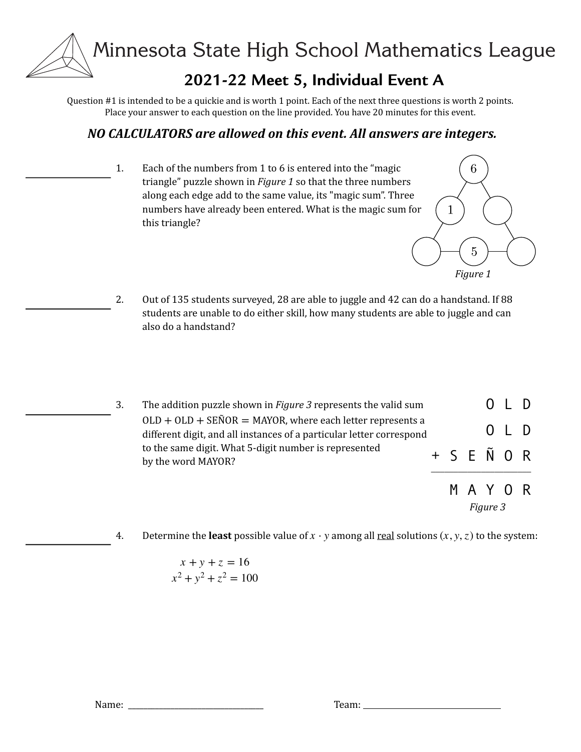# **2021-22 Meet 5, Individual Event A**

Ouestion  $#1$  is intended to be a quickie and is worth 1 point. Each of the next three questions is worth 2 points. Place your answer to each question on the line provided. You have 20 minutes for this event.

## *NO CALCULATORS are allowed on this event. All answers are integers.*

1. Each of the numbers from 1 to 6 is entered into the "magic triangle" puzzle shown in *Figure 1* so that the three numbers along each edge add to the same value, its "magic sum". Three numbers have already been entered. What is the magic sum for this triangle?



- 2. Out of 135 students surveyed, 28 are able to juggle and 42 can do a handstand. If 88 students are unable to do either skill, how many students are able to juggle and can also do a handstand?
- 3. The addition puzzle shown in *Figure* 3 represents the valid sum  $OLD + OLD + SEÑOR = MAYOR$ , where each letter represents a different digit, and all instances of a particular letter correspond to the same digit. What 5-digit number is represented by the word MAYOR? O L D O L D S E Ñ O R  $\mathcal{L}_\text{max}$ M A Y O R

*Figure 3*

4. Determine the **least** possible value of  $x \cdot y$  among all <u>real</u> solutions  $(x, y, z)$  to the system:

$$
x + y + z = 16
$$

$$
x2 + y2 + z2 = 100
$$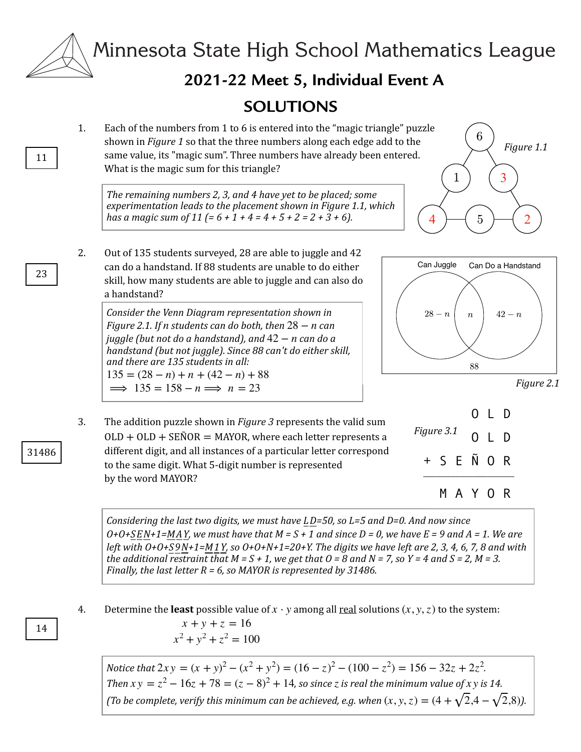

# **2021-22 Meet 5, Individual Event A**

## **SOLUTIONS**

1. Each of the numbers from 1 to 6 is entered into the "magic triangle" puzzle shown in *Figure 1* so that the three numbers along each edge add to the same value, its "magic sum". Three numbers have already been entered. What is the magic sum for this triangle?

The remaining numbers 2, 3, and 4 have yet to be placed; some experimentation leads to the placement shown in Figure 1.1, which *has a magic sum of 11* (=  $6 + 1 + 4 = 4 + 5 + 2 = 2 + 3 + 6$ ).



2. Out of 135 students surveyed, 28 are able to juggle and 42 can do a handstand. If 88 students are unable to do either skill, how many students are able to juggle and can also do a handstand?

*Consider the Venn Diagram representation shown in Figure* 2.1. If *n* students can do both, then  $28 - n$  can *juggle (but not do a handstand), and*  $42 - n$  *can do a handstand (but not juggle). Since 88 can't do either skill,* and there are 135 students in all:  $135 = (28 - n) + n + (42 - n) + 88$  $\implies$  135 = 158 - *n*  $\implies$  *n* = 23



*Figure 2.1*

3. The addition puzzle shown in *Figure* 3 represents the valid sum  $OLD + OLD + SEÑOR = MAYOR$ , where each letter represents a different digit, and all instances of a particular letter correspond to the same digit. What 5-digit number is represented by the word MAYOR?



*Considering the last two digits, we must have LD=50, so L=5 and D=0. And now since*  $O+O+SEN+1=MAY$ , we must have that  $M = S + 1$  and since  $D = 0$ , we have  $E = 9$  and  $A = 1$ . We are *left* with 0+0+S9N+1=M1Y, so 0+0+N+1=20+Y. The digits we have left are 2, 3, 4, 6, 7, 8 and with *the additional restraint that*  $M = S + 1$ , we get that  $O = 8$  and  $N = 7$ , so  $Y = 4$  and  $S = 2$ ,  $M = 3$ . *Finally, the last letter R = 6, so MAYOR is represented by 31486.* 

4. Determine the **least** possible value of  $x \cdot y$  among all <u>real</u> solutions  $(x, y, z)$  to the system:

$$
x + y + z = 16
$$
  

$$
x2 + y2 + z2 = 100
$$

*Notice that*  $2xy = (x + y)^2 - (x^2 + y^2) = (16 - z)^2 - (100 - z^2) = 156 - 32z + 2z^2$ . *Then*  $xy = z^2 - 16z + 78 = (z - 8)^2 + 14$ , so since *z* is real the minimum value of *x y* is 14. *(To be complete, verify this minimum can be achieved, e.g. when*  $(x, y, z) = (4 + \sqrt{2.4} - \sqrt{2.8})$ ).

23

11

#### 31486

#### 14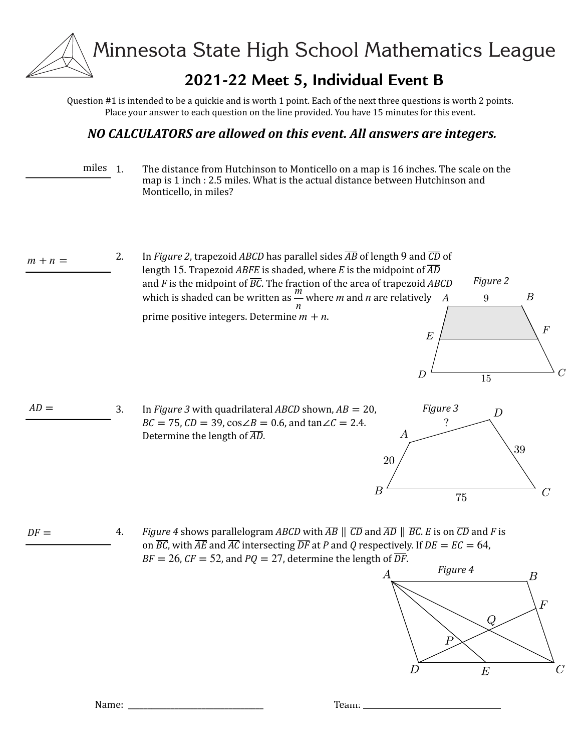## **2021-22 Meet 5, Individual Event B**

Ouestion  $#1$  is intended to be a quickie and is worth 1 point. Each of the next three questions is worth 2 points. Place your answer to each question on the line provided. You have 15 minutes for this event.

#### *NO CALCULATORS are allowed on this event. All answers are integers.*

miles 1. The distance from Hutchinson to Monticello on a map is 16 inches. The scale on the map is 1 inch : 2.5 miles. What is the actual distance between Hutchinson and Monticello, in miles?

 $m + n =$ 

2. In *Figure 2*, trapezoid *ABCD* has parallel sides  $\overline{AB}$  of length 9 and  $\overline{CD}$  of length  $15$ . Trapezoid  $ABFE$  is shaded, where  $E$  is the midpoint of  $\overline{AD}$ and  $F$  is the midpoint of  $\overline{BC}$ . The fraction of the area of trapezoid  $ABCD$ which is shaded can be written as  $\frac{m}{m}$  where *m* and *n* are relatively prime positive integers. Determine  $m + n$ .  $\frac{n}{n}$  where *m* and *n* 





 $E$ 

 $\overline{D}$ 

*Figure 2*

9

15

 $\boldsymbol{B}$ 

 $\overline{F}$ 

 $DF =$ *4. Figure* 4 shows parallelogram ABCD with  $\overline{AB} \parallel \overline{CD}$  and  $\overline{AD} \parallel \overline{BC}$ . *E* is on  $\overline{CD}$  and *F* is on  $\overline{BC}$ , with  $\overline{AE}$  and  $\overline{AC}$  intersecting  $\overline{DF}$  at *P* and *Q* respectively. If  $DE = EC = 64$ ,  $BF = 26$ ,  $CF = 52$ , and  $PQ = 27$ , determine the length of  $\overline{DF}$ .



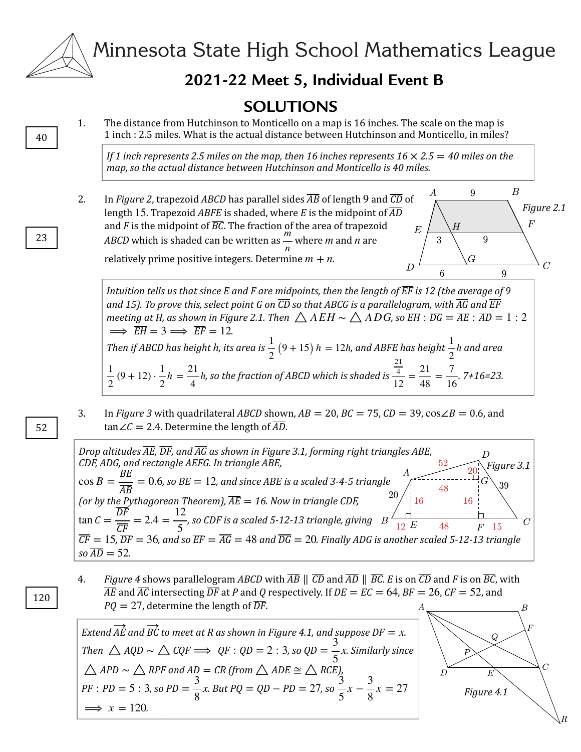

## **2021-22 Meet 5, Individual Event B**

## **SOLUTIONS**

1. The distance from Hutchinson to Monticello on a map is 16 inches. The scale on the map is 1 inch : 2.5 miles. What is the actual distance between Hutchinson and Monticello, in miles?

*If* 1 inch represents 2.5 miles on the map, then 16 inches represents  $16 \times 2.5 = 40$  miles on the map, so the actual distance between Hutchinson and Monticello is 40 miles.

 $\boldsymbol{B}$ А 9 2. In *Figure 2*, trapezoid *ABCD* has parallel sides  $\overline{AB}$  of length 9 and  $\overline{CD}$  of length  $15$ . Trapezoid  $ABFE$  is shaded, where  $E$  is the midpoint of  $\overline{AD}$ and *F* is the midpoint of  $\overline{BC}$ . The fraction of the area of trapezoid  $\overline{E}$ *ABCD* which is shaded can be written as — where *m* and *n* are  $\overline{Q}$  $\frac{n}{n}$  where *m* and *n* relatively prime positive integers. Determine  $m + n$ .  $\overline{G}$  $\overline{D}$ 

Intuition tells us that since E and F are midpoints, then the length of  $\overline{\text{EF}}$  is 12 (the average of 9  $^{\prime}$ and 15). To prove this, select point G on  $\overline{CD}$  so that ABCG is a parallelogram, with  $\overline{AG}$  and  $\overline{EF}$  $m$ eeting at H, as shown in Figure 2.1. Then  $\bigtriangleup$   $A$   $EH$   $\bigtriangleup$   $A$   $DG$ , so  $\overline{EH}$   $:\overline{DG}=\overline{AE}$   $:\overline{AD}=1:2$  $\implies \overline{EH} = 3 \implies \overline{EF} = 12.$ *Then if ABCD has height h, its area is*  $\frac{1}{2}(9 + 15)$  *h* = 12*h, and ABFE has height*  $\frac{1}{2}$ *h and area*  $\frac{1}{2}(9 + 12) \cdot \frac{1}{2}h = \frac{21}{4}h$ , so the fraction of ABCD which is shaded is  $\frac{4}{12} = \frac{21}{48} = \frac{7}{16}$ . 7+16=23. 2 *h* 2  $h = \frac{21}{4}$ 4 *h* 21  $\frac{4}{12} = \frac{21}{48} = \frac{7}{16}$ 

3. In *Figure* 3 with quadrilateral *ABCD* shown,  $AB = 20$ ,  $BC = 75$ ,  $CD = 39$ ,  $\cos\angle B = 0.6$ , and tan∠ $C = 2.4$ . Determine the length of  $\overline{AD}$ .

*Drop altitudes*  $\overline{AE}$ *,*  $\overline{DF}$ *, and*  $\overline{AG}$  *as shown in Figure 3.1, forming right triangles ABE, CDF, ADG, and rectangle AEFG. In triangle ABE, Figure 3.1*  $\cos B = \frac{\overline{BE}}{\overline{AB}} = 0.6$ , so  $\overline{BE} = 12$ , so  $\overline{BE} = 12$ , and since ABE is a scaled 3-4-5 triangle 48 *(or by the Pythagorean Theorem),*  $\overline{AE} = 16$ . Now in triangle CDF,  $\overline{AE} =$  $\tan C = \frac{\overline{DF}}{\overline{CF}} = 2.4 = \frac{12}{5}$ , so CDF is a scaled 5-12-13 triangle, giving  $\overline{C}$  $F-15$  $\overline{CF} = 15$ ,  $\overline{DF} = 36$ , and so  $\overline{EF} = \overline{AG} = 48$  and  $\overline{DG} = 20$ . Finally ADG is another scaled 5-12-13 triangle  $\overline{CF} = 15$ ,  $\overline{DF} = 36$ , and so  $\overline{EF} = \overline{AG} = 48$  and  $\overline{DG} = 20$  $so\,\overline{AD} = 52.$  $\overline{AD} = 52$ 

*4. Figure* 4 shows parallelogram ABCD with  $\overline{AB} \parallel \overline{CD}$  and  $\overline{AD} \parallel \overline{BC}$ . E is on  $\overline{CD}$  and F is on  $\overline{BC}$ , with  $\overline{AE}$  and  $\overline{AC}$  intersecting  $\overline{DF}$  at P and Q respectively. If  $DE = EC = 64$ ,  $BF = 26$ ,  $CF = 52$ , and  $PQ = 27$ , determine the length of  $\overline{DF}$ .

*Extend AE* and BC to meet at R as shown in Figure 4.1, and suppose DF  $= x$ . *Then*  $\triangle AQD \sim \triangle CQF \implies QF : QD = 2 : 3$ , so  $QD = \frac{3}{5}x$ . Similarly since  $\alpha$  *and AD* = *CR* (from  $\triangle$  ADE  $\cong$   $\triangle$  RCE), *, so PD* =  $\frac{1}{2}x$ . But PQ = QD – PD = 27, so *.* 5 *x*  $\triangle$  *APD* ∼  $\triangle$  *RPF* and *AD* = CR (from  $\triangle$  *ADE*  $\cong$   $\triangle$  *RCE PF* : *PD* = 5 : 3, so *PD* =  $\frac{3}{8}$ 8 *x*. But PQ = QD – PD = 27, so  $\frac{3}{5}$ 5  $x - \frac{3}{8}$ 8  $x = 27$  $\implies x = 120.$ 

В *Figure 4.1*

*Figure 2.1*

 $\overline{C}$ 

 $\overline{F}$ 

9

6

23

40

52

120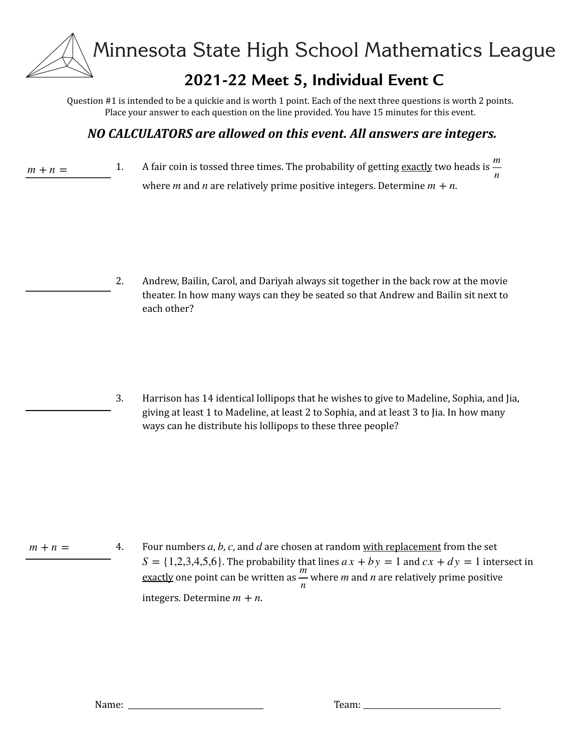## **2021-22 Meet 5, Individual Event C**

Ouestion  $#1$  is intended to be a quickie and is worth 1 point. Each of the next three questions is worth 2 points. Place your answer to each question on the line provided. You have 15 minutes for this event.

## *NO CALCULATORS are allowed on this event. All answers are integers.*

1. A fair coin is tossed three times. The probability of getting <u>exactly</u> two heads is  $\frac{m}{2}$ where  $m$  and  $n$  are relatively prime positive integers. Determine  $m + n$ . *n*  $m + n =$ 

> 2. Andrew, Bailin, Carol, and Dariyah always sit together in the back row at the movie theater. In how many ways can they be seated so that Andrew and Bailin sit next to each other?

3. Harrison has 14 identical lollipops that he wishes to give to Madeline, Sophia, and Jia, giving at least 1 to Madeline, at least 2 to Sophia, and at least 3 to Jia. In how many ways can he distribute his lollipops to these three people?

4. Four numbers  $a$ ,  $b$ ,  $c$ , and  $d$  are chosen at random <u>with replacement</u> from the set  $S = \{1,2,3,4,5,6\}$ . The probability that lines  $ax + by = 1$  and  $cx + dy = 1$  intersect in exactly one point can be written as — where *m* and *n* are relatively prime positive  $\frac{n}{n}$  where *m* and *n*  $m + n =$ 

integers. Determine  $m + n$ .

Name: \_\_\_\_\_\_\_\_\_\_\_\_\_\_\_\_\_\_\_\_\_\_\_\_\_\_\_\_\_\_\_\_\_\_\_ Team: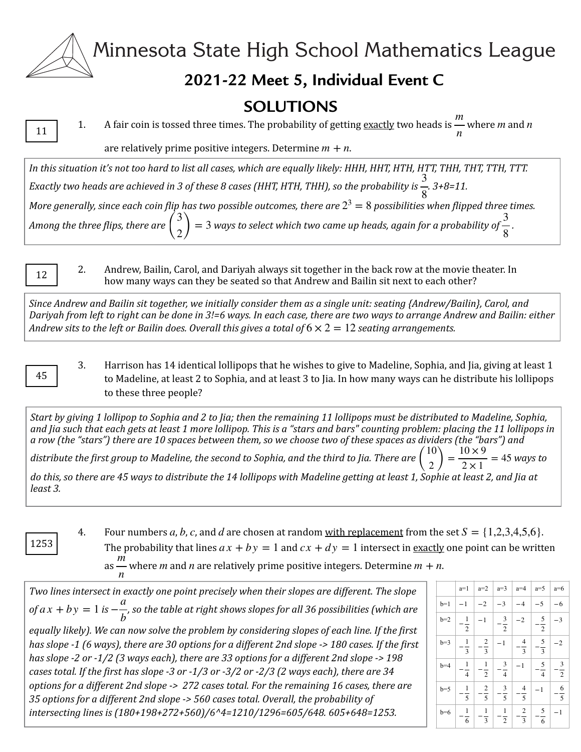# **2021-22 Meet 5, Individual Event C**

## **SOLUTIONS**

11

1. A fair coin is tossed three times. The probability of getting <u>exactly</u> two heads is  $\frac{m}{m}$  where *m* and *n*  $m$  and  $n$ 

are relatively prime positive integers. Determine  $m + n$ .

In this situation it's not too hard to list all cases, which are equally likely: HHH, HHT, HTH, HTT, THH, THT, TTH, TTT. *Exactly two heads are achieved in 3 of these 8 cases (HHT, HTH, THH), so the probability is . 3+8=11.*  3 *More generally, since each coin flip has two possible outcomes, there are*  $2^3 = 8$  *possibilities when flipped three times. Among the three flips, there are*  $\binom{v}{2} = 3$  ways to select which two came up heads, again for a probability of  $\frac{v}{8}$ . 8 3  $\binom{1}{2} = 3$ 3 8

12

2. Andrew, Bailin, Carol, and Dariyah always sit together in the back row at the movie theater. In how many ways can they be seated so that Andrew and Bailin sit next to each other?

*Since Andrew and Bailin sit together, we initially consider them as a single unit: seating {Andrew/Bailin}, Carol, and Dariyah from left to right can be done in 3!=6 ways. In each case, there are two ways to arrange Andrew and Bailin: either Andrew sits to the left or Bailin does. Overall this gives a total of*  $6 \times 2 = 12$  *seating arrangements.* 

45

3. Harrison has 14 identical lollipops that he wishes to give to Madeline, Sophia, and Jia, giving at least 1 to Madeline, at least 2 to Sophia, and at least 3 to Jia. In how many ways can he distribute his lollipops to these three people?

Start by giving 1 lollipop to Sophia and 2 to Jia; then the remaining 11 lollipops must be distributed to Madeline, Sophia, and Jia such that each gets at least 1 more lollipop. This is a "stars and bars" counting problem: placing the 11 lollipops in a row (the "stars") there are 10 spaces between them, so we choose two of these spaces as dividers (the "bars") and *distribute the first group to Madeline, the second to Sophia, and the third to Jia. There are*  $\binom{10}{2} = \frac{1000}{2 \times 1} = 45$  ways to  $\binom{10}{2} = \frac{10 \times 9}{2 \times 1} = 45$ 

do this, so there are 45 ways to distribute the 14 lollipops with Madeline getting at least 1, Sophie at least 2, and Jia at *least 3.*

1253

4. Four numbers a, b, c, and d are chosen at random <u>with replacement</u> from the set  $S = \{1,2,3,4,5,6\}$ . The probability that lines  $ax + by = 1$  and  $cx + dy = 1$  intersect in <u>exactly</u> one point can be written as — where *m* and *n* are relatively prime positive integers. Determine  $m + n$ .  $m$  and  $n$  are relatively prime positive integers. Determine  $m + n$ 

*n* Two lines intersect in exactly one point precisely when their slopes are different. The slope *of*  $ax + by = 1$  is  $-\frac{a}{b}$ , so the table at right shows slopes for all 36 possibilities (which are equally likely). We can now solve the problem by considering slopes of each line. If the first *has* slope -1 (6 ways), there are 30 options for a different 2nd slope -> 180 cases. If the first has slope -2 or -1/2 (3 ways each), there are 33 options for a different 2nd slope -> 198 cases total. If the first has slope -3 or -1/3 or -3/2 or -2/3 (2 ways each), there are 34 *options for a different 2nd slope -> 272 cases total. For the remaining 16 cases, there are* 35 options for a different 2nd slope -> 560 cases total. Overall, the probability of *intersecting lines is (180+198+272+560)/6^4=1210/1296=605/648.* 605+648=1253. *b*

|       | $a=1$                            | $a=2$                                     | $a=3$                           | $a=4$                                      | $a=5$              | $a=6$         |
|-------|----------------------------------|-------------------------------------------|---------------------------------|--------------------------------------------|--------------------|---------------|
| $b=1$ | $-1$                             | $-2$                                      | $-3$                            | $-4$                                       | $-5$               | $-6$          |
| $b=2$ | $\overline{1}$<br>$\overline{2}$ | $-1$                                      | $\frac{3}{2}$<br>$\overline{2}$ | $-2$                                       | $rac{5}{2}$        | $-3$          |
| $b=3$ | $\overline{1}$<br>$\overline{3}$ | $\overline{2}$<br>$\overline{\mathbf{3}}$ | $-1$                            | $\overline{\mathcal{L}}$<br>$\overline{3}$ | $rac{5}{3}$        | $^{-2}$       |
| $b=4$ | $\frac{1}{4}$                    | $\overline{1}$<br>$\overline{2}$          | $\frac{3}{4}$                   | $-1$                                       | $\frac{5}{4}$      | $rac{3}{2}$   |
| $b=5$ | $\mathbf{1}$<br>$\overline{5}$   | $\overline{2}$<br>$\overline{5}$          | $rac{3}{5}$                     | $\overline{4}$<br>$\overline{5}$           | $-1$               | $\frac{6}{5}$ |
| $b=6$ | $\mathbf{1}$<br>6                | $\mathbf{1}$<br>$\overline{\mathbf{3}}$   | $\mathbf{1}$<br>$\sqrt{2}$      | $\overline{\mathbf{c}}$<br>$\overline{3}$  | $\frac{5}{1}$<br>6 | $-1$          |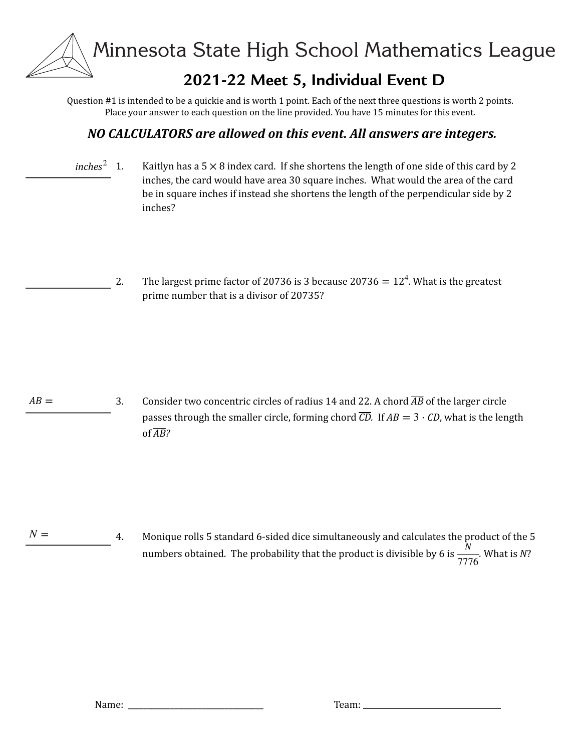# **2021-22 Meet 5, Individual Event D**

Ouestion  $#1$  is intended to be a quickie and is worth 1 point. Each of the next three questions is worth 2 points. Place your answer to each question on the line provided. You have 15 minutes for this event.

## *NO CALCULATORS are allowed on this event. All answers are integers.*

1. Kaitlyn has a  $5 \times 8$  index card. If she shortens the length of one side of this card by 2 inches, the card would have area 30 square inches. What would the area of the card be in square inches if instead she shortens the length of the perpendicular side by 2 inches?  $inches<sup>2</sup>$  1.

> 2. The largest prime factor of 20736 is 3 because 20736 =  $12^4$ . What is the greatest prime number that is a divisor of 20735?

3. Consider two concentric circles of radius 14 and 22. A chord  $\overline{AB}$  of the larger circle passes through the smaller circle, forming chord  $\overline{CD}$ . If  $AB = 3 \cdot CD$ , what is the length of *AB*?  $AB =$ 

4. Monique rolls 5 standard 6-sided dice simultaneously and calculates the product of the 5 numbers obtained. The probability that the product is divisible by 6 is  $\frac{N}{\sqrt{N}}$ . What is *N*? 7776  $N =$ 

Name: \_\_\_\_\_\_\_\_\_\_\_\_\_\_\_\_\_\_\_\_\_\_\_\_\_\_\_\_\_\_\_\_\_\_\_ Team: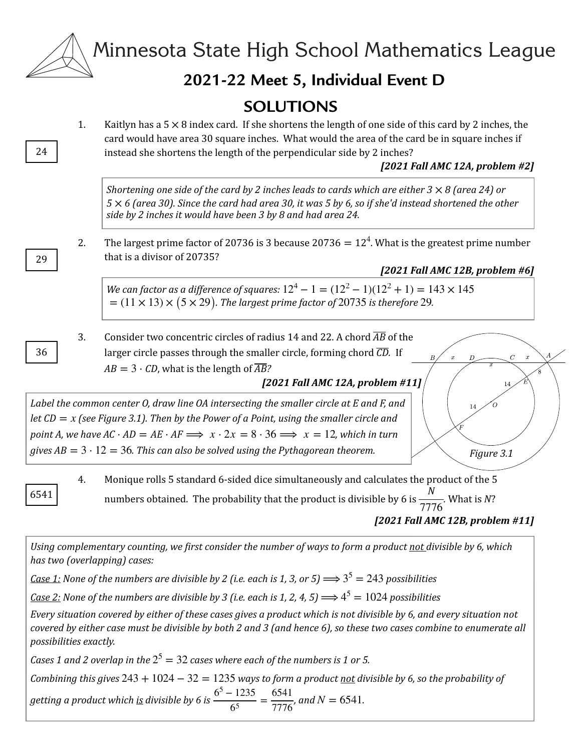|          | Minnesota State High School Mathematics League                                                                                                                                                                                                                                                                                                                                                                                                                                                                                                                                                            |
|----------|-----------------------------------------------------------------------------------------------------------------------------------------------------------------------------------------------------------------------------------------------------------------------------------------------------------------------------------------------------------------------------------------------------------------------------------------------------------------------------------------------------------------------------------------------------------------------------------------------------------|
|          | 2021-22 Meet 5, Individual Event D                                                                                                                                                                                                                                                                                                                                                                                                                                                                                                                                                                        |
| 1.<br>24 | <b>SOLUTIONS</b><br>Kaitlyn has a $5 \times 8$ index card. If she shortens the length of one side of this card by 2 inches, the<br>card would have area 30 square inches. What would the area of the card be in square inches if<br>instead she shortens the length of the perpendicular side by 2 inches?<br>[2021 Fall AMC 12A, problem #2]                                                                                                                                                                                                                                                             |
| 2.<br>29 | Shortening one side of the card by 2 inches leads to cards which are either $3 \times 8$ (area 24) or<br>$5 \times 6$ (area 30). Since the card had area 30, it was 5 by 6, so if she'd instead shortened the other<br>side by 2 inches it would have been 3 by 8 and had area 24.<br>The largest prime factor of 20736 is 3 because 20736 = $124$ . What is the greatest prime number<br>that is a divisor of 20735?<br>[2021 Fall AMC 12B, problem #6]<br>We can factor as a difference of squares: $12^4 - 1 = (12^2 - 1)(12^2 + 1) = 143 \times 145$                                                  |
| 3.<br>36 | Consider two concentric circles of radius 14 and 22. A chord $\overline{AB}$ of the<br>larger circle passes through the smaller circle, forming chord $\overline{CD}$ . If<br>$\,$ $\,$<br>$AB = 3 \cdot CD$ , what is the length of $\overline{AB}$ ?<br>[2021 Fall AMC 12A, problem #11]<br>Label the common center O, draw line OA intersecting the smaller circle at E and F, and<br>14<br>let $CD = x$ (see Figure 3.1). Then by the Power of a Point, using the smaller circle and<br>point A, we have $AC \cdot AD = AE \cdot AF \implies x \cdot 2x = 8 \cdot 36 \implies x = 12$ , which in turn |
| 4        | $=$ (11 $\times$ 13) $\times$ (5 $\times$ 29). The largest prime factor of 20735 is therefore 29.<br>gives $AB = 3 \cdot 12 = 36$ . This can also be solved using the Pythagorean theorem.<br>Figure 3.1<br>Monique rolls 5 standard 6-sided dice simultaneously and calculates the product of the 5                                                                                                                                                                                                                                                                                                      |

6541

rd 6-sided dice simultaneously and calculat numbers obtained. The probability that the product is divisible by 6 is  $\frac{1}{\sqrt{2}}$ . What is N? *[2021 Fall AMC 12B, problem #11] N* 7776

Using complementary counting, we first consider the number of ways to form a product not divisible by 6, which has two (overlapping) cases:

<u>Case 1:</u> None of the numbers are divisible by 2 (i.e. each is 1, 3, or 5)  $\Longrightarrow$   $3^5 = 243$  possibilities

<u>*Case 2:*</u> None of the numbers are divisible by 3 (i.e. each is 1, 2, 4, 5)  $\Longrightarrow$   $4^5 = 1024$  possibilities

Every situation covered by either of these cases gives a product which is not divisible by 6, and every situation not *covered by either case must be divisible by both 2 and 3 (and hence 6), so these two cases combine to enumerate all possibilities exactly.* 

*Cases* 1 and 2 overlap in the  $2^5 = 32$  cases where each of the numbers is 1 or 5.

*Combining* this gives  $243 + 1024 - 32 = 1235$  ways to form a product not divisible by 6, so the probability of

getting a product which <u>is</u> divisible by 6 is  $\frac{6^5 - 1235}{6^5} = \frac{6541}{7776}$ , and  $N = 6541$ .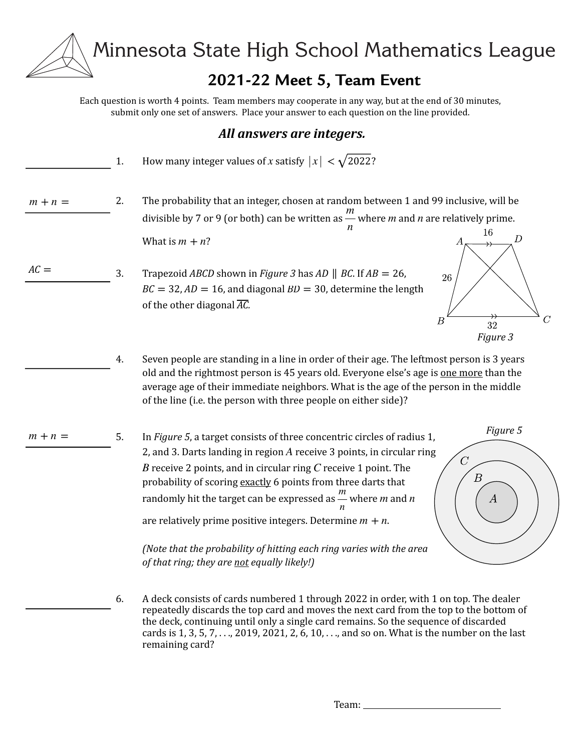# **2021-22 Meet 5, Team Event**

Each question is worth 4 points. Team members may cooperate in any way, but at the end of 30 minutes, submit only one set of answers. Place your answer to each question on the line provided.

#### *All answers are integers.*

|           | 1. | How many integer values of x satisfy $ x  < \sqrt{2022}$ ?                                                                                                                                                                                                                                                                                                                                                                                                                                                                                                                                                                               |
|-----------|----|------------------------------------------------------------------------------------------------------------------------------------------------------------------------------------------------------------------------------------------------------------------------------------------------------------------------------------------------------------------------------------------------------------------------------------------------------------------------------------------------------------------------------------------------------------------------------------------------------------------------------------------|
| $m + n =$ | 2. | The probability that an integer, chosen at random between 1 and 99 inclusive, will be<br>divisible by 7 or 9 (or both) can be written as $\frac{m}{m}$ where <i>m</i> and <i>n</i> are relatively prime.                                                                                                                                                                                                                                                                                                                                                                                                                                 |
| $AC =$    | 3. | 16<br>$\boldsymbol{D}$<br>What is $m + n$ ?<br>Trapezoid <i>ABCD</i> shown in <i>Figure 3</i> has <i>AD</i>    <i>BC</i> . If $AB = 26$ ,<br>26<br>$BC = 32$ , $AD = 16$ , and diagonal $BD = 30$ , determine the length<br>of the other diagonal $\overline{AC}$ .<br>$\, C \,$<br>$\boldsymbol{B}$<br>32<br>Figure 3                                                                                                                                                                                                                                                                                                                   |
|           | 4. | Seven people are standing in a line in order of their age. The leftmost person is 3 years<br>old and the rightmost person is 45 years old. Everyone else's age is one more than the<br>average age of their immediate neighbors. What is the age of the person in the middle<br>of the line (i.e. the person with three people on either side)?                                                                                                                                                                                                                                                                                          |
| $m + n =$ | 5. | Figure 5<br>In Figure 5, a target consists of three concentric circles of radius 1,<br>2, and 3. Darts landing in region A receive 3 points, in circular ring<br>$\cal C$<br>$B$ receive 2 points, and in circular ring $C$ receive 1 point. The<br>$\boldsymbol{B}$<br>probability of scoring exactly 6 points from three darts that<br>randomly hit the target can be expressed as $\frac{m}{m}$ where <i>m</i> and <i>n</i><br>$\boldsymbol{A}$<br>are relatively prime positive integers. Determine $m + n$ .<br>(Note that the probability of hitting each ring varies with the area<br>of that ring; they are not equally likely!) |
|           | 6. | A deck consists of cards numbered 1 through 2022 in order, with 1 on top. The dealer<br>repeatedly discards the top card and moves the next card from the top to the bottom of<br>the deck, continuing until only a single card remains. So the sequence of discarded<br>cards is 1, 3, 5, 7, , 2019, 2021, 2, 6, 10, , and so on. What is the number on the last                                                                                                                                                                                                                                                                        |

remaining card?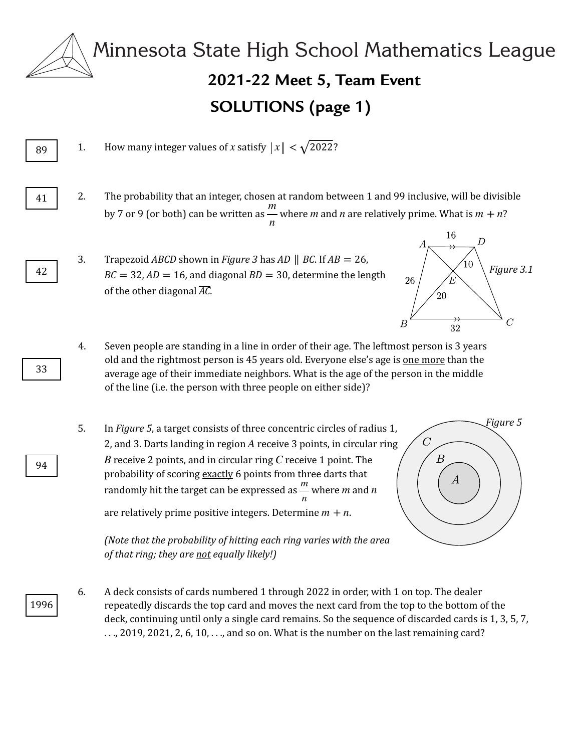

89

41

42

# **2021-22 Meet 5, Team Event** Minnesota State High School Mathematics League **SOLUTIONS (page 1)**

1. How many integer values of x satisfy  $|x| < \sqrt{2022}$ ?

2. The probability that an integer, chosen at random between 1 and 99 inclusive, will be divisible by 7 or 9 (or both) can be written as — where *m* and *n* are relatively prime. What is  $m + n$ ? *n*  $m$  and  $n$  are relatively prime. What is  $m + n$ 

3. Trapezoid *ABCD* shown in *Figure* 3 has  $AD \parallel BC$ . If  $AB = 26$ ,  $BC = 32$ ,  $AD = 16$ , and diagonal  $BD = 30$ , determine the length of the other diagonal  $\overline{AC}$ .



- 4. Seven people are standing in a line in order of their age. The leftmost person is 3 years old and the rightmost person is 45 years old. Everyone else's age is one more than the average age of their immediate neighbors. What is the age of the person in the middle of the line (i.e. the person with three people on either side)?
- 5. In *Figure* 5, a target consists of three concentric circles of radius 1, 2, and 3. Darts landing in region  $A$  receive 3 points, in circular ring  $B$  receive 2 points, and in circular ring  $C$  receive 1 point. The probability of scoring exactly 6 points from three darts that randomly hit the target can be expressed as  $\frac{m}{m}$  where *m* and *n* are relatively prime positive integers. Determine  $m + n$ .  $\frac{n}{n}$  where *m* and *n*

*Figure 5*  $\overline{C}$ *Figure 4*  $\boldsymbol{A}$ 

*(Note that the probability of hitting each ring varies with the area of that ring; they are not equally likely!*)

1996 6. A deck consists of cards numbered 1 through 2022 in order, with 1 on top. The dealer repeatedly discards the top card and moves the next card from the top to the bottom of the deck, continuing until only a single card remains. So the sequence of discarded cards is 1, 3, 5, 7,  $\dots$ , 2019, 2021, 2, 6, 10,  $\dots$ , and so on. What is the number on the last remaining card?

33

94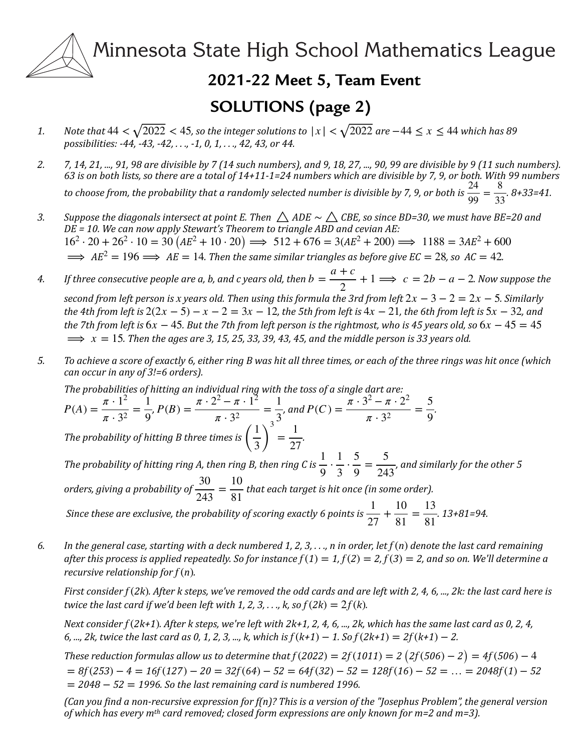# **2021-22 Meet 5, Team Event**

# **SOLUTIONS (page 2)**

- *1. Note that*  $44 < \sqrt{2022} < 45$ , so the integer solutions to  $|x| < \sqrt{2022}$  are −44 ≤  $x \le 44$  which has 89 *possibilities:* -44, -43, -42, ..., -1, 0, 1, ..., 42, 43, or 44.
- 2. *7, 14, 21, ...,* 91, 98 are divisible by 7 (14 such numbers), and 9, 18, 27, ..., 90, 99 are divisible by 9 (11 such numbers). 63 is on both lists, so there are a total of 14+11-1=24 numbers which are divisible by 7, 9, or both. With 99 numbers to choose from, the probability that a randomly selected number is divisible by 7, 9, or both is  $\frac{24}{99} = \frac{8}{33}$ . 8+33=41.
- 3. Suppose the diagonals intersect at point E. Then  $\bigtriangleup$  ADE  $\sim$   $\bigtriangleup$  CBE, so since BD=30, we must have BE=20 and *DE* = 10. We can now apply Stewart's Theorem to triangle ABD and cevian AE:  $\implies$   $AE^2 = 196 \implies AE = 14$ . Then the same similar triangles as before give  $EC = 28$ , so  $AC = 42$ .  $16^2 \cdot 20 + 26^2 \cdot 10 = 30 (AE^2 + 10 \cdot 20) \implies 512 + 676 = 3(AE^2 + 200) \implies 1188 = 3AE^2 + 600$

#### *4.* If three consecutive people are a, b, and c years old, then  $b = \frac{a+c}{2} + 1 \Longrightarrow c = 2b - a - 2$ . Now suppose the *second from left person is x years old. Then using this formula the 3rd from left*  $2x - 3 - 2 = 2x - 5$ . Similarly *the* 4th from left is  $2(2x - 5) - x - 2 = 3x - 12$ , the 5th from left is  $4x - 21$ , the 6th from left is  $5x - 32$ , and *the 7th from left is*  $6x - 45$ . But the 7th from left person is the rightmost, who is 45 years old, so  $6x - 45 = 45$  $\implies x = 15$ . Then the ages are 3, 15, 25, 33, 39, 43, 45, and the middle person is 33 years old. 2  $+ 1 \Longrightarrow c = 2b - a - 2$

- 5. To achieve a score of exactly 6, either ring B was hit all three times, or each of the three rings was hit once (which *can occur in any of 3!=6 orders).* 
	- The probabilities of hitting an individual ring with the toss of a single dart are:

$$
P(A) = \frac{\pi \cdot 1^2}{\pi \cdot 3^2} = \frac{1}{9}, P(B) = \frac{\pi \cdot 2^2 - \pi \cdot 1^2}{\pi \cdot 3^2} = \frac{1}{3}, \text{ and } P(C) = \frac{\pi \cdot 3^2 - \pi \cdot 2^2}{\pi \cdot 3^2} = \frac{5}{9}.
$$
  
The probability of hitting B three times is  $\left(\frac{1}{3}\right)^3 = \frac{1}{27}$ .

*The probability of hitting ring A, then ring B, then ring C is*  $\frac{1}{2} \cdot \frac{1}{2} \cdot \frac{1}{2} = \frac{1}{2}$  *and similarly for the other* 5 *orders, giving a probability of*  $\frac{30}{243} = \frac{10}{81}$  that each target is hit once (in some order). 1  $\frac{1}{9}$ . 1  $\frac{1}{3}$  $rac{5}{9} = \frac{5}{243}$ 

*Since these are exclusive, the probability of scoring exactly 6 points is*  $\frac{1}{25} + \frac{10}{25} = \frac{13}{25}$ . 13+81=94. 27 +  $\frac{10}{81} = \frac{13}{81}$ 

6. In the general case, starting with a deck numbered 1, 2, 3, . . ., n in order, let  $f(n)$  denote the last card remaining  $a$  *fter this process is applied repeatedly. So for instance*  $f(1) = 1$ *,*  $f(2) = 2$ *,*  $f(3) = 2$ *, and so on. We'll determine a recursive relationship* for  $f(n)$ .

 $F$ irst consider $f(2k)$ . After  $k$  steps, we've removed the odd cards and are left with 2, 4, 6, …, 2 $k$ : the last card here is *twice the last card if we'd been left with 1, 2, 3, . . ., k, so*  $f(2k) = 2f(k)$ *.* 

*Next consider*  $f(2k+1)$ . After k steps, we're left with 2k+1, 2, 4, 6, ..., 2k, which has the same last card as 0, 2, 4, *6, ...,* 2k, *twice the last card as 0, 1, 2, 3, ..., k, which is*  $f(k+1) - 1$ *. So*  $f(2k+1) = 2f(k+1) - 2$ *.* 

*These reduction formulas allow us to determine that*  $f(2022) = 2f(1011) = 2\left(2f(506) - 2\right) = 4f(506) - 4$  $= 2048 − 52 = 1996$ . So the last remaining card is numbered 1996.  $= 8f(253) - 4 = 16f(127) - 20 = 32f(64) - 52 = 64f(32) - 52 = 128f(16) - 52 = ... = 2048f(1) - 52$ 

*(Can you find a non-recursive expression for f(n)? This is a version of the "Josephus Problem", the general version of* which has every m<sup>th</sup> card removed; closed form expressions are only known for m=2 and m=3).